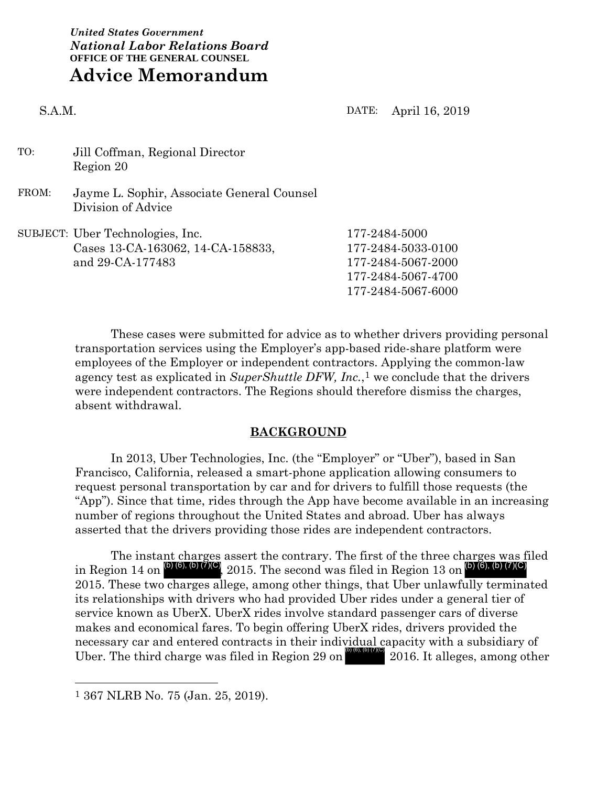*United States Government National Labor Relations Board* **OFFICE OF THE GENERAL COUNSEL Advice Memorandum**

S.A.M. DATE: April 16, 2019

- TO: Jill Coffman, Regional Director Region 20
- FROM: Jayme L. Sophir, Associate General Counsel Division of Advice

| SUBJECT: Uber Technologies, Inc.  | 177-2484-5000      |
|-----------------------------------|--------------------|
| Cases 13-CA-163062, 14-CA-158833, | 177-2484-5033-0100 |
| and 29-CA-177483                  | 177-2484-5067-2000 |
|                                   | 177-2484-5067-4700 |
|                                   | 177-2484-5067-6000 |
|                                   |                    |

These cases were submitted for advice as to whether drivers providing personal transportation services using the Employer's app-based ride-share platform were employees of the Employer or independent contractors. Applying the common-law agency test as explicated in *SuperShuttle DFW, Inc.*,<sup>1</sup> we conclude that the drivers were independent contractors. The Regions should therefore dismiss the charges, absent withdrawal.

#### **BACKGROUND**

In 2013, Uber Technologies, Inc. (the "Employer" or "Uber"), based in San Francisco, California, released a smart-phone application allowing consumers to request personal transportation by car and for drivers to fulfill those requests (the "App"). Since that time, rides through the App have become available in an increasing number of regions throughout the United States and abroad. Uber has always asserted that the drivers providing those rides are independent contractors.

The instant charges assert the contrary. The first of the three charges was filed<br>in Region 14 on  $\left(\frac{D(6), (b)(7)}{C}\right)$ , 2015. The second was filed in Region 13 on  $\left(\frac{D(6), (b)(7)}{C}\right)$ in Region 14 on  $^{(b)(6),(b)(7)(C)}$ , 2015. The second was filed in Region 13 on  $^{(b)(6),(b)(7)(C)}$ 2015. These two charges allege, among other things, that Uber unlawfully terminated its relationships with drivers who had provided Uber rides under a general tier of service known as UberX. UberX rides involve standard passenger cars of diverse makes and economical fares. To begin offering UberX rides, drivers provided the necessary car and entered contracts in their individual capacity with a subsidiary of Uber. The third charge was filed in Region 29 on  $\frac{1}{2016}$ , (b) (7)(C)  $2016$ . It alleges, among other

 <sup>1</sup> 367 NLRB No. 75 (Jan. 25, 2019).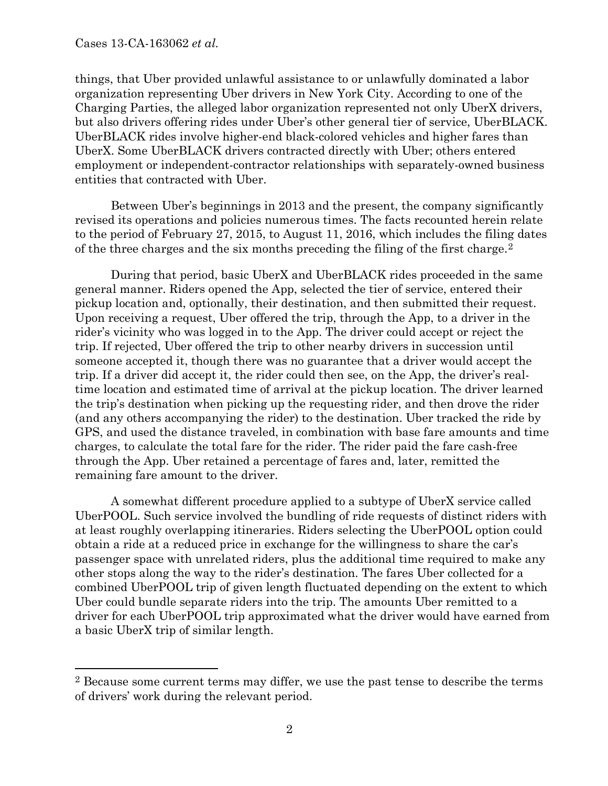things, that Uber provided unlawful assistance to or unlawfully dominated a labor organization representing Uber drivers in New York City. According to one of the Charging Parties, the alleged labor organization represented not only UberX drivers, but also drivers offering rides under Uber's other general tier of service, UberBLACK. UberBLACK rides involve higher-end black-colored vehicles and higher fares than UberX. Some UberBLACK drivers contracted directly with Uber; others entered employment or independent-contractor relationships with separately-owned business entities that contracted with Uber.

Between Uber's beginnings in 2013 and the present, the company significantly revised its operations and policies numerous times. The facts recounted herein relate to the period of February 27, 2015, to August 11, 2016, which includes the filing dates of the three charges and the six months preceding the filing of the first charge.<sup>2</sup>

During that period, basic UberX and UberBLACK rides proceeded in the same general manner. Riders opened the App, selected the tier of service, entered their pickup location and, optionally, their destination, and then submitted their request. Upon receiving a request, Uber offered the trip, through the App, to a driver in the rider's vicinity who was logged in to the App. The driver could accept or reject the trip. If rejected, Uber offered the trip to other nearby drivers in succession until someone accepted it, though there was no guarantee that a driver would accept the trip. If a driver did accept it, the rider could then see, on the App, the driver's realtime location and estimated time of arrival at the pickup location. The driver learned the trip's destination when picking up the requesting rider, and then drove the rider (and any others accompanying the rider) to the destination. Uber tracked the ride by GPS, and used the distance traveled, in combination with base fare amounts and time charges, to calculate the total fare for the rider. The rider paid the fare cash-free through the App. Uber retained a percentage of fares and, later, remitted the remaining fare amount to the driver.

A somewhat different procedure applied to a subtype of UberX service called UberPOOL. Such service involved the bundling of ride requests of distinct riders with at least roughly overlapping itineraries. Riders selecting the UberPOOL option could obtain a ride at a reduced price in exchange for the willingness to share the car's passenger space with unrelated riders, plus the additional time required to make any other stops along the way to the rider's destination. The fares Uber collected for a combined UberPOOL trip of given length fluctuated depending on the extent to which Uber could bundle separate riders into the trip. The amounts Uber remitted to a driver for each UberPOOL trip approximated what the driver would have earned from a basic UberX trip of similar length.

 <sup>2</sup> Because some current terms may differ, we use the past tense to describe the terms of drivers' work during the relevant period.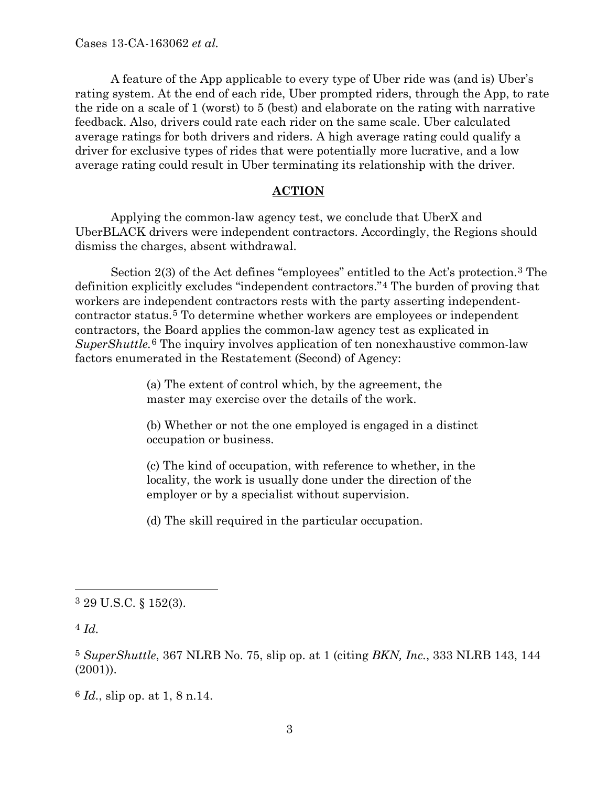A feature of the App applicable to every type of Uber ride was (and is) Uber's rating system. At the end of each ride, Uber prompted riders, through the App, to rate the ride on a scale of 1 (worst) to 5 (best) and elaborate on the rating with narrative feedback. Also, drivers could rate each rider on the same scale. Uber calculated average ratings for both drivers and riders. A high average rating could qualify a driver for exclusive types of rides that were potentially more lucrative, and a low average rating could result in Uber terminating its relationship with the driver.

#### **ACTION**

Applying the common-law agency test, we conclude that UberX and UberBLACK drivers were independent contractors. Accordingly, the Regions should dismiss the charges, absent withdrawal.

Section 2(3) of the Act defines "employees" entitled to the Act's protection.3 The definition explicitly excludes "independent contractors."4 The burden of proving that workers are independent contractors rests with the party asserting independentcontractor status.5 To determine whether workers are employees or independent contractors, the Board applies the common-law agency test as explicated in *SuperShuttle.*6 The inquiry involves application of ten nonexhaustive common-law factors enumerated in the Restatement (Second) of Agency:

> (a) The extent of control which, by the agreement, the master may exercise over the details of the work.

(b) Whether or not the one employed is engaged in a distinct occupation or business.

(c) The kind of occupation, with reference to whether, in the locality, the work is usually done under the direction of the employer or by a specialist without supervision.

(d) The skill required in the particular occupation.

4 *Id.*

 <sup>3</sup> 29 U.S.C. § 152(3).

<sup>5</sup> *SuperShuttle*, 367 NLRB No. 75, slip op. at 1 (citing *BKN, Inc.*, 333 NLRB 143, 144 (2001)).

<sup>6</sup> *Id.*, slip op. at 1, 8 n.14.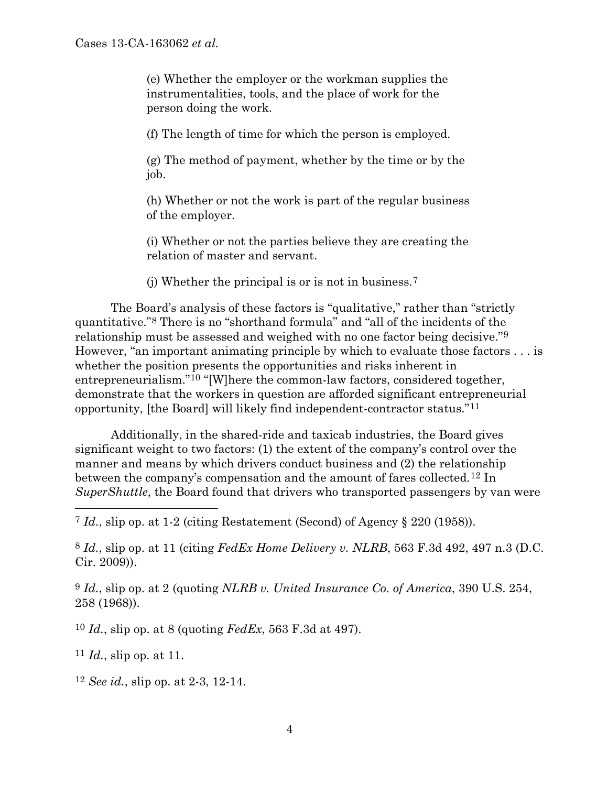(e) Whether the employer or the workman supplies the instrumentalities, tools, and the place of work for the person doing the work.

(f) The length of time for which the person is employed.

(g) The method of payment, whether by the time or by the job.

(h) Whether or not the work is part of the regular business of the employer.

(i) Whether or not the parties believe they are creating the relation of master and servant.

(j) Whether the principal is or is not in business.7

The Board's analysis of these factors is "qualitative," rather than "strictly quantitative."8 There is no "shorthand formula" and "all of the incidents of the relationship must be assessed and weighed with no one factor being decisive."9 However, "an important animating principle by which to evaluate those factors . . . is whether the position presents the opportunities and risks inherent in entrepreneurialism."10 "[W]here the common-law factors, considered together, demonstrate that the workers in question are afforded significant entrepreneurial opportunity, [the Board] will likely find independent-contractor status."11

Additionally, in the shared-ride and taxicab industries, the Board gives significant weight to two factors: (1) the extent of the company's control over the manner and means by which drivers conduct business and (2) the relationship between the company's compensation and the amount of fares collected.12 In *SuperShuttle*, the Board found that drivers who transported passengers by van were

7 *Id.*, slip op. at 1-2 (citing Restatement (Second) of Agency § 220 (1958)).

8 *Id.*, slip op. at 11 (citing *FedEx Home Delivery v. NLRB*, 563 F.3d 492, 497 n.3 (D.C. Cir. 2009)).

9 *Id.*, slip op. at 2 (quoting *NLRB v. United Insurance Co. of America*, 390 U.S. 254, 258 (1968)).

10 *Id.*, slip op. at 8 (quoting *FedEx*, 563 F.3d at 497).

11 *Id.*, slip op. at 11.

12 *See id.*, slip op. at 2-3, 12-14.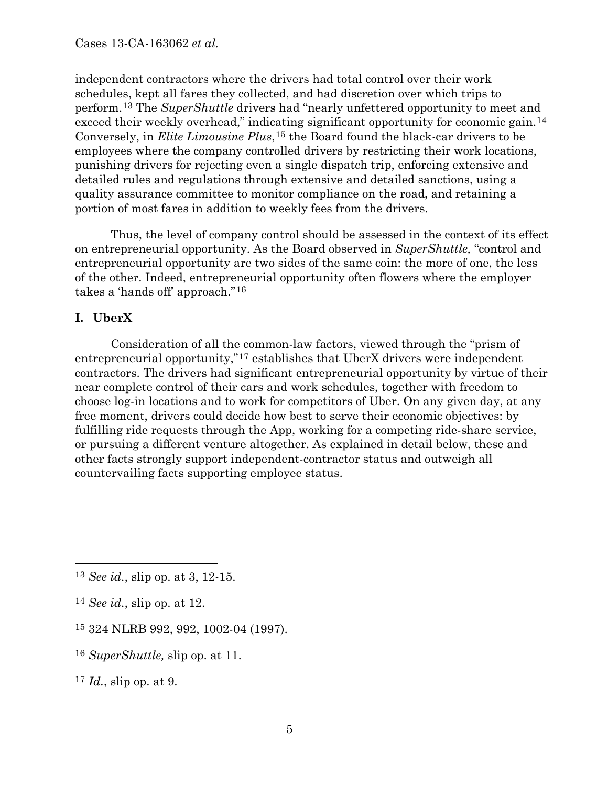independent contractors where the drivers had total control over their work schedules, kept all fares they collected, and had discretion over which trips to perform.13 The *SuperShuttle* drivers had "nearly unfettered opportunity to meet and exceed their weekly overhead," indicating significant opportunity for economic gain.<sup>14</sup> Conversely, in *Elite Limousine Plus*,15 the Board found the black-car drivers to be employees where the company controlled drivers by restricting their work locations, punishing drivers for rejecting even a single dispatch trip, enforcing extensive and detailed rules and regulations through extensive and detailed sanctions, using a quality assurance committee to monitor compliance on the road, and retaining a portion of most fares in addition to weekly fees from the drivers.

Thus, the level of company control should be assessed in the context of its effect on entrepreneurial opportunity. As the Board observed in *SuperShuttle,* "control and entrepreneurial opportunity are two sides of the same coin: the more of one, the less of the other. Indeed, entrepreneurial opportunity often flowers where the employer takes a 'hands off' approach."16

## **I. UberX**

Consideration of all the common-law factors, viewed through the "prism of entrepreneurial opportunity,"17 establishes that UberX drivers were independent contractors. The drivers had significant entrepreneurial opportunity by virtue of their near complete control of their cars and work schedules, together with freedom to choose log-in locations and to work for competitors of Uber. On any given day, at any free moment, drivers could decide how best to serve their economic objectives: by fulfilling ride requests through the App, working for a competing ride-share service, or pursuing a different venture altogether. As explained in detail below, these and other facts strongly support independent-contractor status and outweigh all countervailing facts supporting employee status.

- 16 *SuperShuttle,* slip op. at 11.
- 17 *Id.*, slip op. at 9.

 <sup>13</sup> *See id.*, slip op. at 3, 12-15.

<sup>14</sup> *See id.*, slip op. at 12.

<sup>15</sup> 324 NLRB 992, 992, 1002-04 (1997).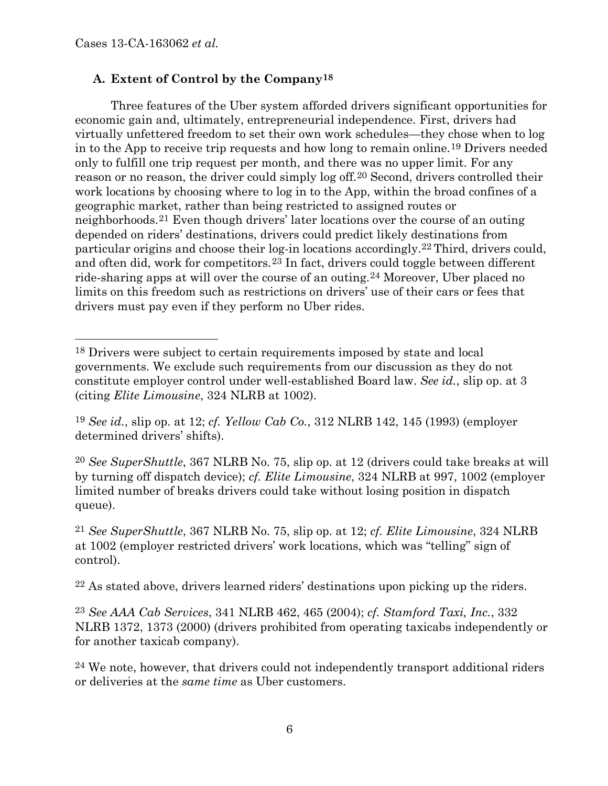# **A. Extent of Control by the Company18**

Three features of the Uber system afforded drivers significant opportunities for economic gain and, ultimately, entrepreneurial independence. First, drivers had virtually unfettered freedom to set their own work schedules—they chose when to log in to the App to receive trip requests and how long to remain online.19 Drivers needed only to fulfill one trip request per month, and there was no upper limit. For any reason or no reason, the driver could simply log off.20 Second, drivers controlled their work locations by choosing where to log in to the App, within the broad confines of a geographic market, rather than being restricted to assigned routes or neighborhoods.21 Even though drivers' later locations over the course of an outing depended on riders' destinations, drivers could predict likely destinations from particular origins and choose their log-in locations accordingly.22 Third, drivers could, and often did, work for competitors.23 In fact, drivers could toggle between different ride-sharing apps at will over the course of an outing.24 Moreover, Uber placed no limits on this freedom such as restrictions on drivers' use of their cars or fees that drivers must pay even if they perform no Uber rides.

20 *See SuperShuttle*, 367 NLRB No. 75, slip op. at 12 (drivers could take breaks at will by turning off dispatch device); *cf. Elite Limousine*, 324 NLRB at 997, 1002 (employer limited number of breaks drivers could take without losing position in dispatch queue).

21 *See SuperShuttle*, 367 NLRB No. 75, slip op. at 12; *cf. Elite Limousine*, 324 NLRB at 1002 (employer restricted drivers' work locations, which was "telling" sign of control).

22 As stated above, drivers learned riders' destinations upon picking up the riders.

23 *See AAA Cab Services*, 341 NLRB 462, 465 (2004); *cf. Stamford Taxi, Inc.*, 332 NLRB 1372, 1373 (2000) (drivers prohibited from operating taxicabs independently or for another taxicab company).

24 We note, however, that drivers could not independently transport additional riders or deliveries at the *same time* as Uber customers.

 <sup>18</sup> Drivers were subject to certain requirements imposed by state and local governments. We exclude such requirements from our discussion as they do not constitute employer control under well-established Board law. *See id.*, slip op. at 3 (citing *Elite Limousine*, 324 NLRB at 1002).

<sup>19</sup> *See id.*, slip op. at 12; *cf. Yellow Cab Co.*, 312 NLRB 142, 145 (1993) (employer determined drivers' shifts).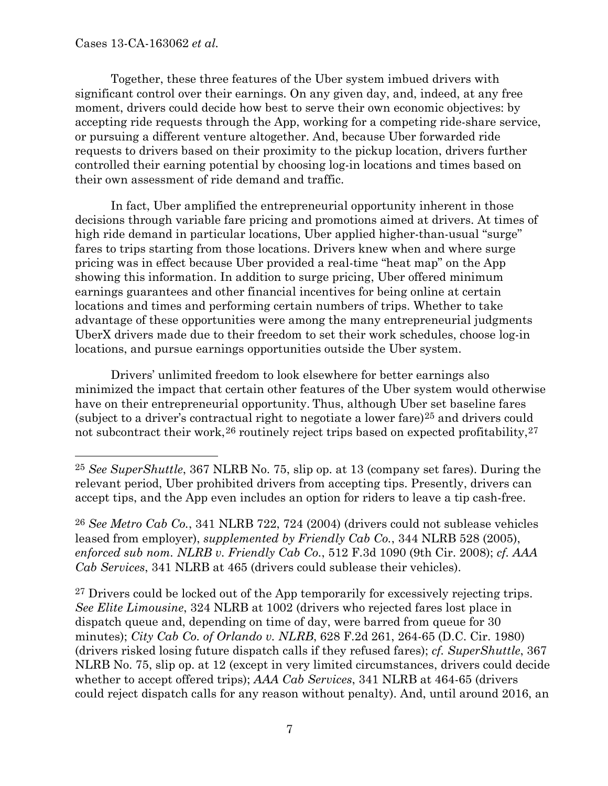Together, these three features of the Uber system imbued drivers with significant control over their earnings. On any given day, and, indeed, at any free moment, drivers could decide how best to serve their own economic objectives: by accepting ride requests through the App, working for a competing ride-share service, or pursuing a different venture altogether. And, because Uber forwarded ride requests to drivers based on their proximity to the pickup location, drivers further controlled their earning potential by choosing log-in locations and times based on their own assessment of ride demand and traffic.

In fact, Uber amplified the entrepreneurial opportunity inherent in those decisions through variable fare pricing and promotions aimed at drivers. At times of high ride demand in particular locations, Uber applied higher-than-usual "surge" fares to trips starting from those locations. Drivers knew when and where surge pricing was in effect because Uber provided a real-time "heat map" on the App showing this information. In addition to surge pricing, Uber offered minimum earnings guarantees and other financial incentives for being online at certain locations and times and performing certain numbers of trips. Whether to take advantage of these opportunities were among the many entrepreneurial judgments UberX drivers made due to their freedom to set their work schedules, choose log-in locations, and pursue earnings opportunities outside the Uber system.

Drivers' unlimited freedom to look elsewhere for better earnings also minimized the impact that certain other features of the Uber system would otherwise have on their entrepreneurial opportunity. Thus, although Uber set baseline fares (subject to a driver's contractual right to negotiate a lower fare) $25$  and drivers could not subcontract their work,  $26$  routinely reject trips based on expected profitability,  $27$ 

26 *See Metro Cab Co.*, 341 NLRB 722, 724 (2004) (drivers could not sublease vehicles leased from employer), *supplemented by Friendly Cab Co.*, 344 NLRB 528 (2005), *enforced sub nom. NLRB v. Friendly Cab Co.*, 512 F.3d 1090 (9th Cir. 2008); *cf. AAA Cab Services*, 341 NLRB at 465 (drivers could sublease their vehicles).

<sup>27</sup> Drivers could be locked out of the App temporarily for excessively rejecting trips. *See Elite Limousine*, 324 NLRB at 1002 (drivers who rejected fares lost place in dispatch queue and, depending on time of day, were barred from queue for 30 minutes); *City Cab Co. of Orlando v. NLRB*, 628 F.2d 261, 264-65 (D.C. Cir. 1980) (drivers risked losing future dispatch calls if they refused fares); *cf. SuperShuttle*, 367 NLRB No. 75, slip op. at 12 (except in very limited circumstances, drivers could decide whether to accept offered trips); *AAA Cab Services*, 341 NLRB at 464-65 (drivers could reject dispatch calls for any reason without penalty). And, until around 2016, an

 <sup>25</sup> *See SuperShuttle*, 367 NLRB No. 75, slip op. at <sup>13</sup> (company set fares). During the relevant period, Uber prohibited drivers from accepting tips. Presently, drivers can accept tips, and the App even includes an option for riders to leave a tip cash-free.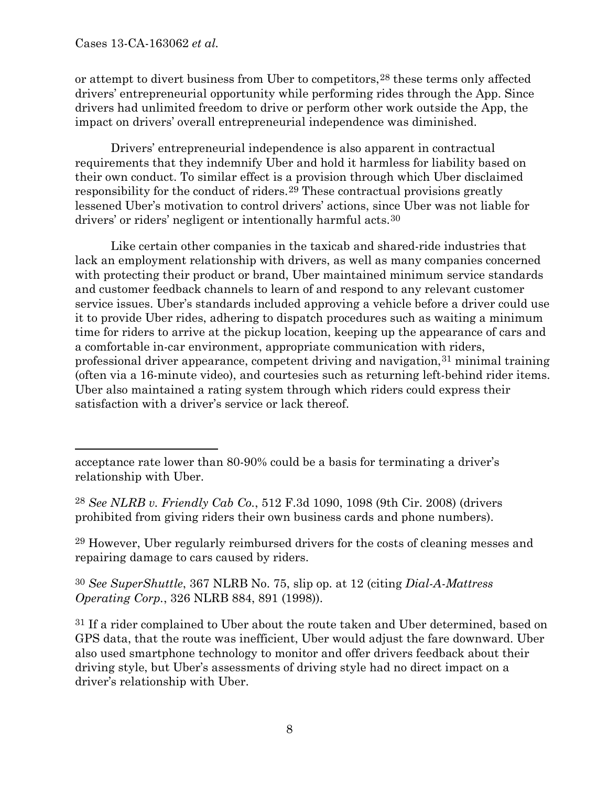or attempt to divert business from Uber to competitors,28 these terms only affected drivers' entrepreneurial opportunity while performing rides through the App. Since drivers had unlimited freedom to drive or perform other work outside the App, the impact on drivers' overall entrepreneurial independence was diminished.

Drivers' entrepreneurial independence is also apparent in contractual requirements that they indemnify Uber and hold it harmless for liability based on their own conduct. To similar effect is a provision through which Uber disclaimed responsibility for the conduct of riders.29 These contractual provisions greatly lessened Uber's motivation to control drivers' actions, since Uber was not liable for drivers' or riders' negligent or intentionally harmful acts.30

Like certain other companies in the taxicab and shared-ride industries that lack an employment relationship with drivers, as well as many companies concerned with protecting their product or brand, Uber maintained minimum service standards and customer feedback channels to learn of and respond to any relevant customer service issues. Uber's standards included approving a vehicle before a driver could use it to provide Uber rides, adhering to dispatch procedures such as waiting a minimum time for riders to arrive at the pickup location, keeping up the appearance of cars and a comfortable in-car environment, appropriate communication with riders, professional driver appearance, competent driving and navigation,31 minimal training (often via a 16-minute video), and courtesies such as returning left-behind rider items. Uber also maintained a rating system through which riders could express their satisfaction with a driver's service or lack thereof.

28 *See NLRB v. Friendly Cab Co.*, 512 F.3d 1090, 1098 (9th Cir. 2008) (drivers prohibited from giving riders their own business cards and phone numbers).

29 However, Uber regularly reimbursed drivers for the costs of cleaning messes and repairing damage to cars caused by riders.

30 *See SuperShuttle*, 367 NLRB No. 75, slip op. at 12 (citing *Dial-A-Mattress Operating Corp.*, 326 NLRB 884, 891 (1998)).

31 If a rider complained to Uber about the route taken and Uber determined, based on GPS data, that the route was inefficient, Uber would adjust the fare downward. Uber also used smartphone technology to monitor and offer drivers feedback about their driving style, but Uber's assessments of driving style had no direct impact on a driver's relationship with Uber.

acceptance rate lower than 80-90% could be a basis for terminating a driver's relationship with Uber.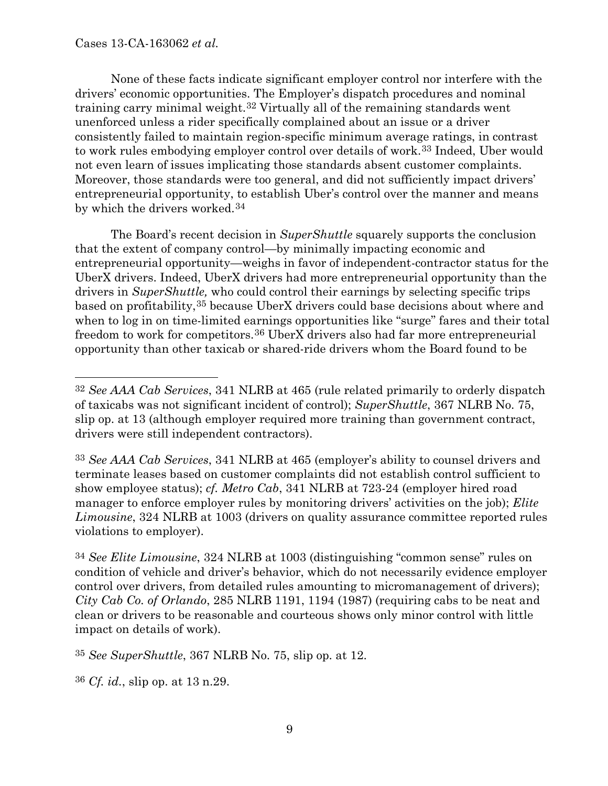None of these facts indicate significant employer control nor interfere with the drivers' economic opportunities. The Employer's dispatch procedures and nominal training carry minimal weight.32 Virtually all of the remaining standards went unenforced unless a rider specifically complained about an issue or a driver consistently failed to maintain region-specific minimum average ratings, in contrast to work rules embodying employer control over details of work.33 Indeed, Uber would not even learn of issues implicating those standards absent customer complaints. Moreover, those standards were too general, and did not sufficiently impact drivers' entrepreneurial opportunity, to establish Uber's control over the manner and means by which the drivers worked.34

The Board's recent decision in *SuperShuttle* squarely supports the conclusion that the extent of company control—by minimally impacting economic and entrepreneurial opportunity—weighs in favor of independent-contractor status for the UberX drivers. Indeed, UberX drivers had more entrepreneurial opportunity than the drivers in *SuperShuttle,* who could control their earnings by selecting specific trips based on profitability,35 because UberX drivers could base decisions about where and when to log in on time-limited earnings opportunities like "surge" fares and their total freedom to work for competitors.36 UberX drivers also had far more entrepreneurial opportunity than other taxicab or shared-ride drivers whom the Board found to be

33 *See AAA Cab Services*, 341 NLRB at 465 (employer's ability to counsel drivers and terminate leases based on customer complaints did not establish control sufficient to show employee status); *cf. Metro Cab*, 341 NLRB at 723-24 (employer hired road manager to enforce employer rules by monitoring drivers' activities on the job); *Elite Limousine*, 324 NLRB at 1003 (drivers on quality assurance committee reported rules violations to employer).

34 *See Elite Limousine*, 324 NLRB at 1003 (distinguishing "common sense" rules on condition of vehicle and driver's behavior, which do not necessarily evidence employer control over drivers, from detailed rules amounting to micromanagement of drivers); *City Cab Co. of Orlando*, 285 NLRB 1191, 1194 (1987) (requiring cabs to be neat and clean or drivers to be reasonable and courteous shows only minor control with little impact on details of work).

35 *See SuperShuttle*, 367 NLRB No. 75, slip op. at 12.

36 *Cf. id.*, slip op. at 13 n.29.

 <sup>32</sup> *See AAA Cab Services*, 341 NLRB at 465 (rule related primarily to orderly dispatch of taxicabs was not significant incident of control); *SuperShuttle*, 367 NLRB No. 75, slip op. at 13 (although employer required more training than government contract, drivers were still independent contractors).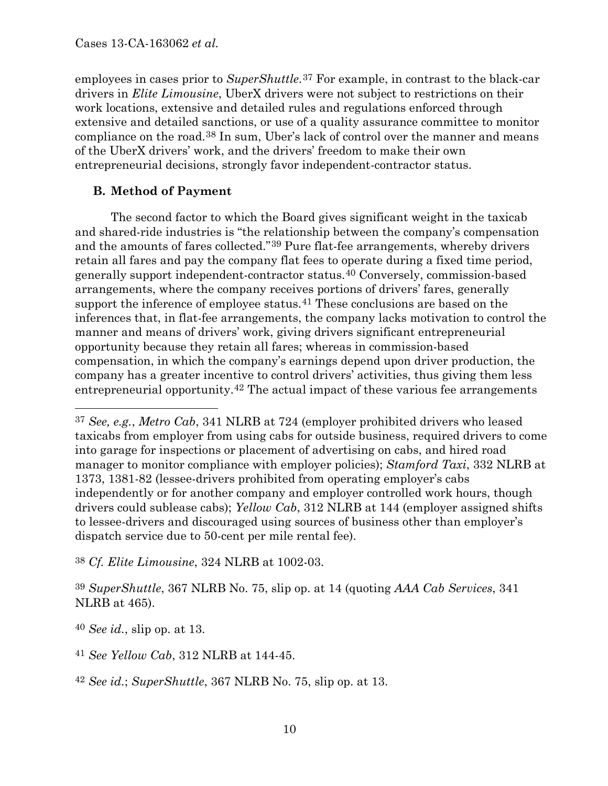employees in cases prior to *SuperShuttle*.<sup>37</sup> For example, in contrast to the black-car drivers in *Elite Limousine*, UberX drivers were not subject to restrictions on their work locations, extensive and detailed rules and regulations enforced through extensive and detailed sanctions, or use of a quality assurance committee to monitor compliance on the road.38 In sum, Uber's lack of control over the manner and means of the UberX drivers' work, and the drivers' freedom to make their own entrepreneurial decisions, strongly favor independent-contractor status.

# **B. Method of Payment**

The second factor to which the Board gives significant weight in the taxicab and shared-ride industries is "the relationship between the company's compensation and the amounts of fares collected."39 Pure flat-fee arrangements, whereby drivers retain all fares and pay the company flat fees to operate during a fixed time period, generally support independent-contractor status.40 Conversely, commission-based arrangements, where the company receives portions of drivers' fares, generally support the inference of employee status.<sup>41</sup> These conclusions are based on the inferences that, in flat-fee arrangements, the company lacks motivation to control the manner and means of drivers' work, giving drivers significant entrepreneurial opportunity because they retain all fares; whereas in commission-based compensation, in which the company's earnings depend upon driver production, the company has a greater incentive to control drivers' activities, thus giving them less entrepreneurial opportunity.42 The actual impact of these various fee arrangements

38 *Cf. Elite Limousine*, 324 NLRB at 1002-03.

39 *SuperShuttle*, 367 NLRB No. 75, slip op. at 14 (quoting *AAA Cab Services*, 341 NLRB at 465).

40 *See id.*, slip op. at 13.

41 *See Yellow Cab*, 312 NLRB at 144-45.

42 *See id.*; *SuperShuttle*, 367 NLRB No. 75, slip op. at 13.

 <sup>37</sup> *See, e.g.*, *Metro Cab*, 341 NLRB at 724 (employer prohibited drivers who leased taxicabs from employer from using cabs for outside business, required drivers to come into garage for inspections or placement of advertising on cabs, and hired road manager to monitor compliance with employer policies); *Stamford Taxi*, 332 NLRB at 1373, 1381-82 (lessee-drivers prohibited from operating employer's cabs independently or for another company and employer controlled work hours, though drivers could sublease cabs); *Yellow Cab*, 312 NLRB at 144 (employer assigned shifts to lessee-drivers and discouraged using sources of business other than employer's dispatch service due to 50-cent per mile rental fee).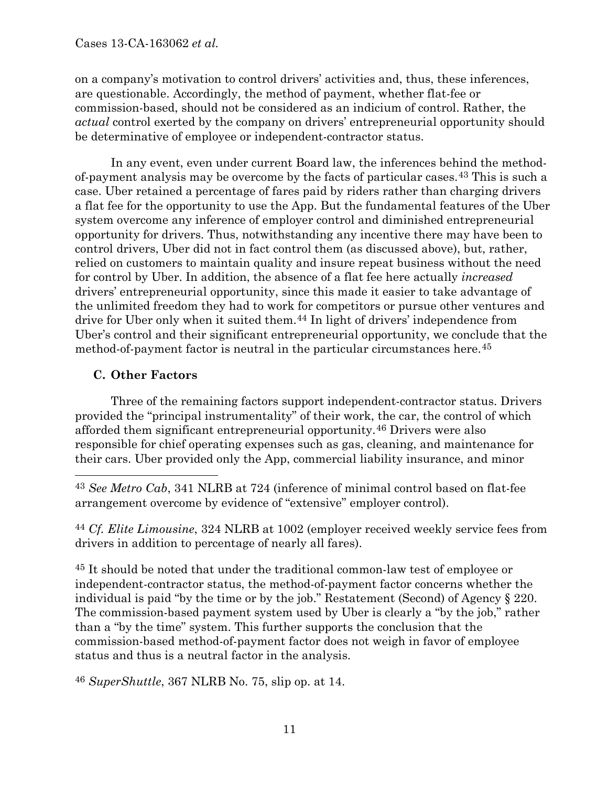on a company's motivation to control drivers' activities and, thus, these inferences, are questionable. Accordingly, the method of payment, whether flat-fee or commission-based, should not be considered as an indicium of control. Rather, the *actual* control exerted by the company on drivers' entrepreneurial opportunity should be determinative of employee or independent-contractor status.

In any event, even under current Board law, the inferences behind the methodof-payment analysis may be overcome by the facts of particular cases.43 This is such a case. Uber retained a percentage of fares paid by riders rather than charging drivers a flat fee for the opportunity to use the App. But the fundamental features of the Uber system overcome any inference of employer control and diminished entrepreneurial opportunity for drivers. Thus, notwithstanding any incentive there may have been to control drivers, Uber did not in fact control them (as discussed above), but, rather, relied on customers to maintain quality and insure repeat business without the need for control by Uber. In addition, the absence of a flat fee here actually *increased* drivers' entrepreneurial opportunity, since this made it easier to take advantage of the unlimited freedom they had to work for competitors or pursue other ventures and drive for Uber only when it suited them.44 In light of drivers' independence from Uber's control and their significant entrepreneurial opportunity, we conclude that the method-of-payment factor is neutral in the particular circumstances here.<sup>45</sup>

# **C. Other Factors**

Three of the remaining factors support independent-contractor status. Drivers provided the "principal instrumentality" of their work, the car, the control of which afforded them significant entrepreneurial opportunity.46 Drivers were also responsible for chief operating expenses such as gas, cleaning, and maintenance for their cars. Uber provided only the App, commercial liability insurance, and minor

 43 *See Metro Cab*, 341 NLRB at 724 (inference of minimal control based on flat-fee arrangement overcome by evidence of "extensive" employer control).

44 *Cf. Elite Limousine*, 324 NLRB at 1002 (employer received weekly service fees from drivers in addition to percentage of nearly all fares).

45 It should be noted that under the traditional common-law test of employee or independent-contractor status, the method-of-payment factor concerns whether the individual is paid "by the time or by the job." Restatement (Second) of Agency § 220. The commission-based payment system used by Uber is clearly a "by the job," rather than a "by the time" system. This further supports the conclusion that the commission-based method-of-payment factor does not weigh in favor of employee status and thus is a neutral factor in the analysis.

46 *SuperShuttle*, 367 NLRB No. 75, slip op. at 14.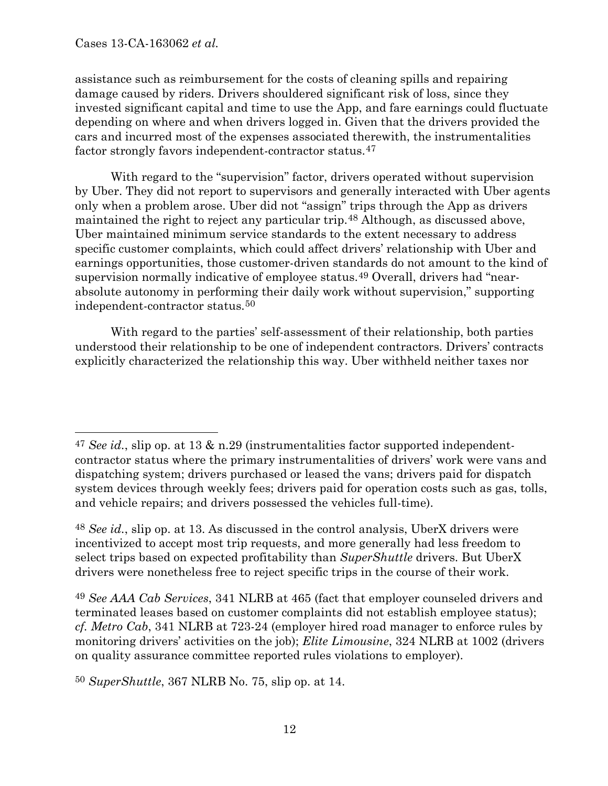Cases 13-CA-163062 *et al.*

assistance such as reimbursement for the costs of cleaning spills and repairing damage caused by riders. Drivers shouldered significant risk of loss, since they invested significant capital and time to use the App, and fare earnings could fluctuate depending on where and when drivers logged in. Given that the drivers provided the cars and incurred most of the expenses associated therewith, the instrumentalities factor strongly favors independent-contractor status.47

With regard to the "supervision" factor, drivers operated without supervision by Uber. They did not report to supervisors and generally interacted with Uber agents only when a problem arose. Uber did not "assign" trips through the App as drivers maintained the right to reject any particular trip.48 Although, as discussed above, Uber maintained minimum service standards to the extent necessary to address specific customer complaints, which could affect drivers' relationship with Uber and earnings opportunities, those customer-driven standards do not amount to the kind of supervision normally indicative of employee status.49 Overall, drivers had "nearabsolute autonomy in performing their daily work without supervision," supporting independent-contractor status.50

With regard to the parties' self-assessment of their relationship, both parties understood their relationship to be one of independent contractors. Drivers' contracts explicitly characterized the relationship this way. Uber withheld neither taxes nor

48 *See id.*, slip op. at 13. As discussed in the control analysis, UberX drivers were incentivized to accept most trip requests, and more generally had less freedom to select trips based on expected profitability than *SuperShuttle* drivers. But UberX drivers were nonetheless free to reject specific trips in the course of their work.

49 *See AAA Cab Services*, 341 NLRB at 465 (fact that employer counseled drivers and terminated leases based on customer complaints did not establish employee status); *cf. Metro Cab*, 341 NLRB at 723-24 (employer hired road manager to enforce rules by monitoring drivers' activities on the job); *Elite Limousine*, 324 NLRB at 1002 (drivers on quality assurance committee reported rules violations to employer).

50 *SuperShuttle*, 367 NLRB No. 75, slip op. at 14.

 <sup>47</sup> *See id.*, slip op. at 13 & n.29 (instrumentalities factor supported independentcontractor status where the primary instrumentalities of drivers' work were vans and dispatching system; drivers purchased or leased the vans; drivers paid for dispatch system devices through weekly fees; drivers paid for operation costs such as gas, tolls, and vehicle repairs; and drivers possessed the vehicles full-time).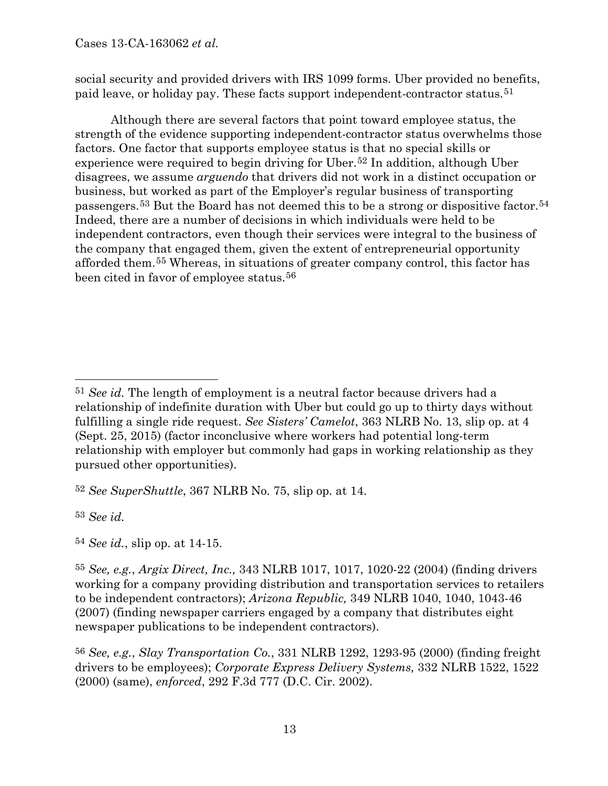social security and provided drivers with IRS 1099 forms. Uber provided no benefits, paid leave, or holiday pay. These facts support independent-contractor status.51

Although there are several factors that point toward employee status, the strength of the evidence supporting independent-contractor status overwhelms those factors. One factor that supports employee status is that no special skills or experience were required to begin driving for Uber.<sup>52</sup> In addition, although Uber disagrees, we assume *arguendo* that drivers did not work in a distinct occupation or business, but worked as part of the Employer's regular business of transporting passengers.53 But the Board has not deemed this to be a strong or dispositive factor.54 Indeed, there are a number of decisions in which individuals were held to be independent contractors, even though their services were integral to the business of the company that engaged them, given the extent of entrepreneurial opportunity afforded them.55 Whereas, in situations of greater company control, this factor has been cited in favor of employee status.<sup>56</sup>

52 *See SuperShuttle*, 367 NLRB No. 75, slip op. at 14.

53 *See id.*

54 *See id.*, slip op. at 14-15.

 <sup>51</sup> *See id.* The length of employment is a neutral factor because drivers had <sup>a</sup> relationship of indefinite duration with Uber but could go up to thirty days without fulfilling a single ride request. *See Sisters' Camelot*, 363 NLRB No. 13, slip op. at 4 (Sept. 25, 2015) (factor inconclusive where workers had potential long-term relationship with employer but commonly had gaps in working relationship as they pursued other opportunities).

<sup>55</sup> *See, e.g.*, *Argix Direct, Inc.,* 343 NLRB 1017, 1017, 1020-22 (2004) (finding drivers working for a company providing distribution and transportation services to retailers to be independent contractors); *Arizona Republic,* 349 NLRB 1040, 1040, 1043-46 (2007) (finding newspaper carriers engaged by a company that distributes eight newspaper publications to be independent contractors).

<sup>56</sup> *See, e.g.*, *Slay Transportation Co.*, 331 NLRB 1292, 1293-95 (2000) (finding freight drivers to be employees); *Corporate Express Delivery Systems,* 332 NLRB 1522, 1522 (2000) (same), *enforced*, 292 F.3d 777 (D.C. Cir. 2002).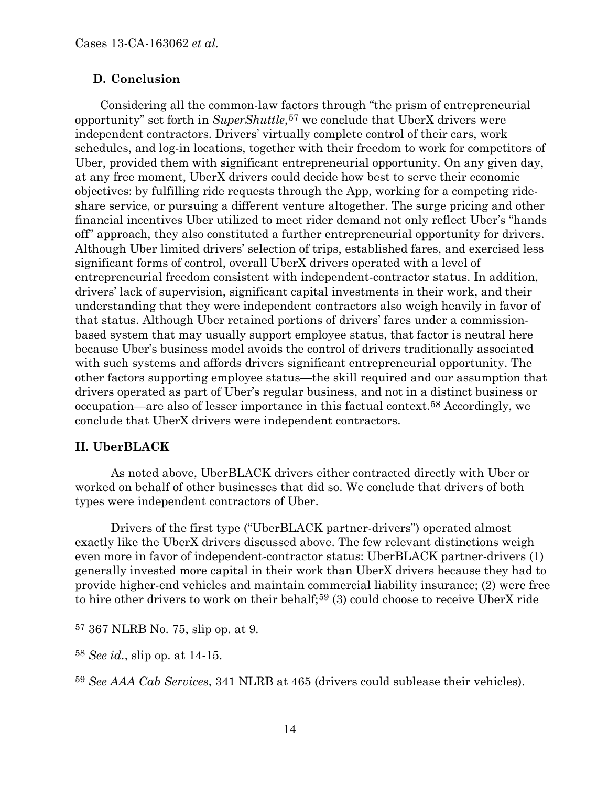### **D. Conclusion**

Considering all the common-law factors through "the prism of entrepreneurial opportunity" set forth in *SuperShuttle*,57 we conclude that UberX drivers were independent contractors. Drivers' virtually complete control of their cars, work schedules, and log-in locations, together with their freedom to work for competitors of Uber, provided them with significant entrepreneurial opportunity. On any given day, at any free moment, UberX drivers could decide how best to serve their economic objectives: by fulfilling ride requests through the App, working for a competing rideshare service, or pursuing a different venture altogether. The surge pricing and other financial incentives Uber utilized to meet rider demand not only reflect Uber's "hands off" approach, they also constituted a further entrepreneurial opportunity for drivers. Although Uber limited drivers' selection of trips, established fares, and exercised less significant forms of control, overall UberX drivers operated with a level of entrepreneurial freedom consistent with independent-contractor status. In addition, drivers' lack of supervision, significant capital investments in their work, and their understanding that they were independent contractors also weigh heavily in favor of that status. Although Uber retained portions of drivers' fares under a commissionbased system that may usually support employee status, that factor is neutral here because Uber's business model avoids the control of drivers traditionally associated with such systems and affords drivers significant entrepreneurial opportunity. The other factors supporting employee status—the skill required and our assumption that drivers operated as part of Uber's regular business, and not in a distinct business or occupation—are also of lesser importance in this factual context.58 Accordingly, we conclude that UberX drivers were independent contractors.

## **II. UberBLACK**

As noted above, UberBLACK drivers either contracted directly with Uber or worked on behalf of other businesses that did so. We conclude that drivers of both types were independent contractors of Uber.

Drivers of the first type ("UberBLACK partner-drivers") operated almost exactly like the UberX drivers discussed above. The few relevant distinctions weigh even more in favor of independent-contractor status: UberBLACK partner-drivers (1) generally invested more capital in their work than UberX drivers because they had to provide higher-end vehicles and maintain commercial liability insurance; (2) were free to hire other drivers to work on their behalf;<sup>59</sup> (3) could choose to receive UberX ride

 <sup>57</sup> 367 NLRB No. 75, slip op. at <sup>9</sup>*.*

<sup>58</sup> *See id.*, slip op. at 14-15.

<sup>59</sup> *See AAA Cab Services*, 341 NLRB at 465 (drivers could sublease their vehicles).